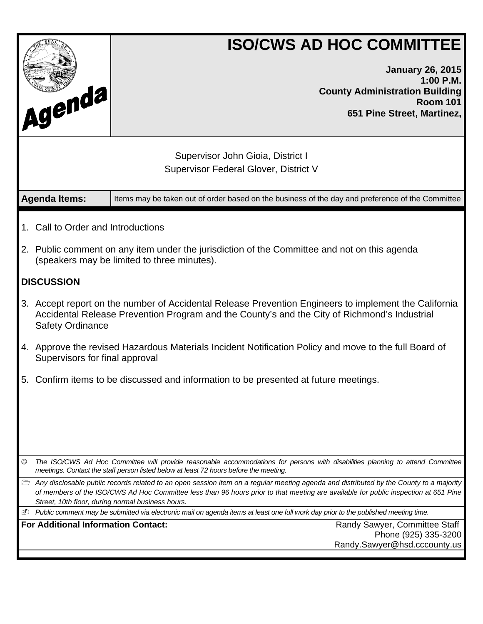|                                                                                      |                                                                                                                                                                                                                                  | <b>ISO/CWS AD HOC COMMITTEE</b>                                                                                                                                                                                                                                                                                                                     |  |  |  |
|--------------------------------------------------------------------------------------|----------------------------------------------------------------------------------------------------------------------------------------------------------------------------------------------------------------------------------|-----------------------------------------------------------------------------------------------------------------------------------------------------------------------------------------------------------------------------------------------------------------------------------------------------------------------------------------------------|--|--|--|
| Agenda                                                                               |                                                                                                                                                                                                                                  | <b>January 26, 2015</b><br>1:00 P.M.<br><b>County Administration Building</b><br><b>Room 101</b><br>651 Pine Street, Martinez,                                                                                                                                                                                                                      |  |  |  |
|                                                                                      |                                                                                                                                                                                                                                  | Supervisor John Gioia, District I<br><b>Supervisor Federal Glover, District V</b>                                                                                                                                                                                                                                                                   |  |  |  |
|                                                                                      | <b>Agenda Items:</b>                                                                                                                                                                                                             | Items may be taken out of order based on the business of the day and preference of the Committee                                                                                                                                                                                                                                                    |  |  |  |
|                                                                                      | 1. Call to Order and Introductions                                                                                                                                                                                               |                                                                                                                                                                                                                                                                                                                                                     |  |  |  |
|                                                                                      | 2. Public comment on any item under the jurisdiction of the Committee and not on this agenda<br>(speakers may be limited to three minutes).                                                                                      |                                                                                                                                                                                                                                                                                                                                                     |  |  |  |
|                                                                                      | <b>DISCUSSION</b>                                                                                                                                                                                                                |                                                                                                                                                                                                                                                                                                                                                     |  |  |  |
|                                                                                      | 3. Accept report on the number of Accidental Release Prevention Engineers to implement the California<br>Accidental Release Prevention Program and the County's and the City of Richmond's Industrial<br><b>Safety Ordinance</b> |                                                                                                                                                                                                                                                                                                                                                     |  |  |  |
|                                                                                      | 4. Approve the revised Hazardous Materials Incident Notification Policy and move to the full Board of<br>Supervisors for final approval                                                                                          |                                                                                                                                                                                                                                                                                                                                                     |  |  |  |
| 5. Confirm items to be discussed and information to be presented at future meetings. |                                                                                                                                                                                                                                  |                                                                                                                                                                                                                                                                                                                                                     |  |  |  |
| $\odot$                                                                              | The ISO/CWS Ad Hoc Committee will provide reasonable accommodations for persons with disabilities planning to attend Committee<br>meetings. Contact the staff person listed below at least 72 hours before the meeting.          |                                                                                                                                                                                                                                                                                                                                                     |  |  |  |
|                                                                                      |                                                                                                                                                                                                                                  | $\triangleright$ Any disclosable public records related to an open session item on a regular meeting agenda and distributed by the County to a majority<br>of members of the ISO/CWS Ad Hoc Committee less than 96 hours prior to that meeting are available for public inspection at 651 Pine<br>Street, 10th floor, during normal business hours. |  |  |  |
| ⊕                                                                                    |                                                                                                                                                                                                                                  | Public comment may be submitted via electronic mail on agenda items at least one full work day prior to the published meeting time.                                                                                                                                                                                                                 |  |  |  |
|                                                                                      | <b>For Additional Information Contact:</b>                                                                                                                                                                                       | Randy Sawyer, Committee Staff<br>Phone (925) 335-3200<br>Randy.Sawyer@hsd.cccounty.us                                                                                                                                                                                                                                                               |  |  |  |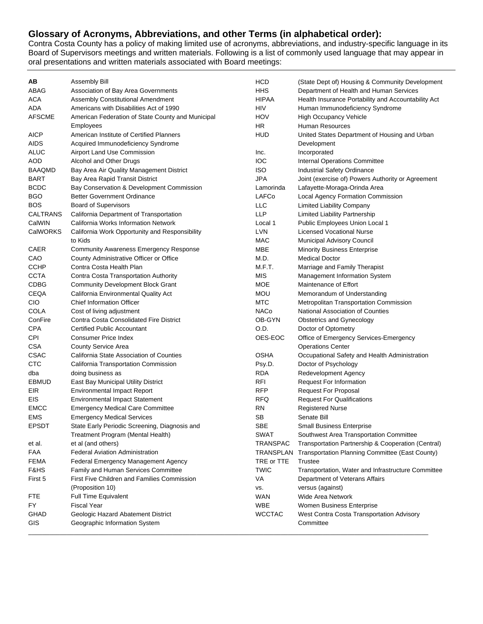### **Glossary of Acronyms, Abbreviations, and other Terms (in alphabetical order):**

Contra Costa County has a policy of making limited use of acronyms, abbreviations, and industry-specific language in its Board of Supervisors meetings and written materials. Following is a list of commonly used language that may appear in oral presentations and written materials associated with Board meetings:

| ΑВ                 | Assembly Bill                                     | HCD                      | (State Dept of) Housing & Community Development                                      |
|--------------------|---------------------------------------------------|--------------------------|--------------------------------------------------------------------------------------|
| ABAG               | Association of Bay Area Governments               | HHS                      | Department of Health and Human Services                                              |
| ACA                | Assembly Constitutional Amendment                 | <b>HIPAA</b>             | Health Insurance Portability and Accountability Act                                  |
| ADA                | Americans with Disabilities Act of 1990           | HIV                      | Human Immunodeficiency Syndrome                                                      |
| AFSCME             | American Federation of State County and Municipal | HOV                      | <b>High Occupancy Vehicle</b>                                                        |
|                    | Employees                                         | ΗR                       | Human Resources                                                                      |
| <b>AICP</b>        | American Institute of Certified Planners          | HUD                      | United States Department of Housing and Urban                                        |
| <b>AIDS</b>        | Acquired Immunodeficiency Syndrome                |                          | Development                                                                          |
| ALUC               | Airport Land Use Commission                       | Inc.                     | Incorporated                                                                         |
| AOD                | Alcohol and Other Drugs                           | IOC                      | Internal Operations Committee                                                        |
| <b>BAAQMD</b>      | Bay Area Air Quality Management District          | <b>ISO</b>               | Industrial Safety Ordinance                                                          |
| <b>BART</b>        | Bay Area Rapid Transit District                   | JPA                      | Joint (exercise of) Powers Authority or Agreement                                    |
| <b>BCDC</b>        | Bay Conservation & Development Commission         | Lamorinda                | Lafayette-Moraga-Orinda Area                                                         |
| BGO                | <b>Better Government Ordinance</b>                | LAFCo                    | Local Agency Formation Commission                                                    |
| BOS                | <b>Board of Supervisors</b>                       | LLC                      | <b>Limited Liability Company</b>                                                     |
| CALTRANS           | California Department of Transportation           | <b>LLP</b>               | Limited Liability Partnership                                                        |
| CalWIN             | California Works Information Network              | Local 1                  | Public Employees Union Local 1                                                       |
| <b>CalWORKS</b>    | California Work Opportunity and Responsibility    | LVN                      | <b>Licensed Vocational Nurse</b>                                                     |
|                    | to Kids                                           | MAC                      | <b>Municipal Advisory Council</b>                                                    |
| CAER               | <b>Community Awareness Emergency Response</b>     | MBE                      | <b>Minority Business Enterprise</b>                                                  |
| CAO                | County Administrative Officer or Office           | M.D.                     | <b>Medical Doctor</b>                                                                |
| <b>CCHP</b>        | Contra Costa Health Plan                          | M.F.T.                   | Marriage and Family Therapist                                                        |
| <b>CCTA</b>        | Contra Costa Transportation Authority             | MIS                      | Management Information System                                                        |
| <b>CDBG</b>        | <b>Community Development Block Grant</b>          | MOE                      | Maintenance of Effort                                                                |
| CEQA               | California Environmental Quality Act              | <b>MOU</b>               | Memorandum of Understanding                                                          |
| <b>CIO</b>         | <b>Chief Information Officer</b>                  | MTC                      | Metropolitan Transportation Commission                                               |
| COLA               | Cost of living adjustment                         | NACo                     | National Association of Counties                                                     |
| ConFire            | Contra Costa Consolidated Fire District           | OB-GYN                   | Obstetrics and Gynecology                                                            |
| <b>CPA</b>         | <b>Certified Public Accountant</b>                | O.D.                     | Doctor of Optometry                                                                  |
| CPI                | <b>Consumer Price Index</b>                       | OES-EOC                  | Office of Emergency Services-Emergency                                               |
| <b>CSA</b>         | County Service Area                               |                          | <b>Operations Center</b>                                                             |
| <b>CSAC</b>        | California State Association of Counties          | <b>OSHA</b>              | Occupational Safety and Health Administration                                        |
| <b>CTC</b>         | California Transportation Commission              | Psy.D.                   | Doctor of Psychology                                                                 |
| dba                | doing business as                                 | <b>RDA</b>               | Redevelopment Agency                                                                 |
| EBMUD              | East Bay Municipal Utility District               | RFI                      | <b>Request For Information</b>                                                       |
| EIR                | <b>Environmental Impact Report</b>                | <b>RFP</b>               | <b>Request For Proposal</b>                                                          |
| EIS                | <b>Environmental Impact Statement</b>             | <b>RFQ</b>               | <b>Request For Qualifications</b>                                                    |
| <b>EMCC</b>        | <b>Emergency Medical Care Committee</b>           | <b>RN</b>                | <b>Registered Nurse</b>                                                              |
| EMS                | <b>Emergency Medical Services</b>                 | SВ                       | Senate Bill                                                                          |
| <b>EPSDT</b>       | State Early Periodic Screening, Diagnosis and     | <b>SBE</b>               | <b>Small Business Enterprise</b>                                                     |
|                    | Treatment Program (Mental Health)                 | <b>SWAT</b>              | Southwest Area Transportation Committee                                              |
| et al.             | et al (and others)                                | <b>TRANSPAC</b>          | Transportation Partnership & Cooperation (Central)                                   |
| FAA                | <b>Federal Aviation Administration</b>            |                          | TRANSPLAN Transportation Planning Committee (East County)                            |
| <b>FEMA</b>        | Federal Emergency Management Agency               | TRE or TTE               | Trustee                                                                              |
| F&HS               | Family and Human Services Committee               | TWIC                     |                                                                                      |
| First 5            | First Five Children and Families Commission       | VA                       | Transportation, Water and Infrastructure Committee<br>Department of Veterans Affairs |
|                    |                                                   |                          |                                                                                      |
|                    | (Proposition 10)                                  | VS.                      | versus (against)                                                                     |
| FTE                | Full Time Equivalent<br><b>Fiscal Year</b>        | <b>WAN</b><br><b>WBE</b> | Wide Area Network                                                                    |
| FY.<br><b>GHAD</b> |                                                   | <b>WCCTAC</b>            | Women Business Enterprise<br>West Contra Costa Transportation Advisory               |
|                    | Geologic Hazard Abatement District                |                          | Committee                                                                            |
| GIS                | Geographic Information System                     |                          |                                                                                      |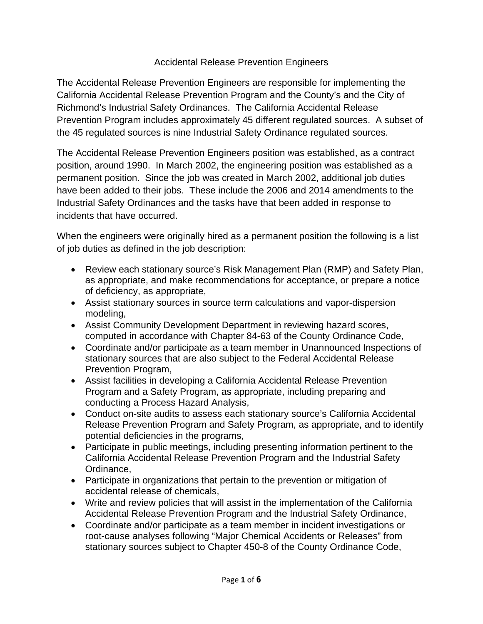## Accidental Release Prevention Engineers

The Accidental Release Prevention Engineers are responsible for implementing the California Accidental Release Prevention Program and the County's and the City of Richmond's Industrial Safety Ordinances. The California Accidental Release Prevention Program includes approximately 45 different regulated sources. A subset of the 45 regulated sources is nine Industrial Safety Ordinance regulated sources.

The Accidental Release Prevention Engineers position was established, as a contract position, around 1990. In March 2002, the engineering position was established as a permanent position. Since the job was created in March 2002, additional job duties have been added to their jobs. These include the 2006 and 2014 amendments to the Industrial Safety Ordinances and the tasks have that been added in response to incidents that have occurred.

When the engineers were originally hired as a permanent position the following is a list of job duties as defined in the job description:

- Review each stationary source's Risk Management Plan (RMP) and Safety Plan, as appropriate, and make recommendations for acceptance, or prepare a notice of deficiency, as appropriate,
- Assist stationary sources in source term calculations and vapor-dispersion modeling,
- Assist Community Development Department in reviewing hazard scores, computed in accordance with Chapter 84-63 of the County Ordinance Code,
- Coordinate and/or participate as a team member in Unannounced Inspections of stationary sources that are also subject to the Federal Accidental Release Prevention Program,
- Assist facilities in developing a California Accidental Release Prevention Program and a Safety Program, as appropriate, including preparing and conducting a Process Hazard Analysis,
- Conduct on-site audits to assess each stationary source's California Accidental Release Prevention Program and Safety Program, as appropriate, and to identify potential deficiencies in the programs,
- Participate in public meetings, including presenting information pertinent to the California Accidental Release Prevention Program and the Industrial Safety Ordinance,
- Participate in organizations that pertain to the prevention or mitigation of accidental release of chemicals,
- Write and review policies that will assist in the implementation of the California Accidental Release Prevention Program and the Industrial Safety Ordinance,
- Coordinate and/or participate as a team member in incident investigations or root-cause analyses following "Major Chemical Accidents or Releases" from stationary sources subject to Chapter 450-8 of the County Ordinance Code,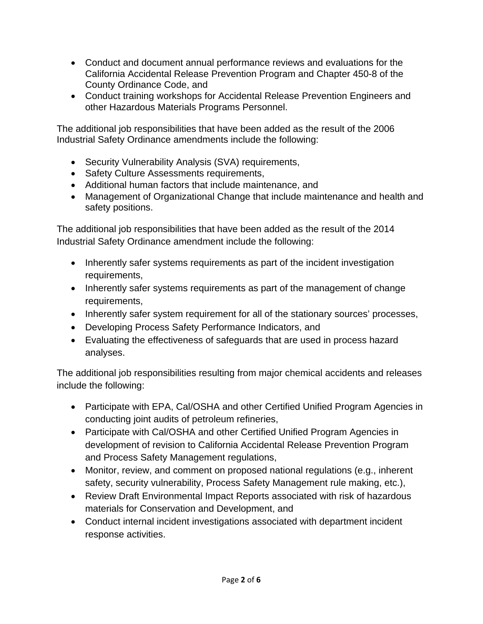- Conduct and document annual performance reviews and evaluations for the California Accidental Release Prevention Program and Chapter 450-8 of the County Ordinance Code, and
- Conduct training workshops for Accidental Release Prevention Engineers and other Hazardous Materials Programs Personnel.

The additional job responsibilities that have been added as the result of the 2006 Industrial Safety Ordinance amendments include the following:

- Security Vulnerability Analysis (SVA) requirements,
- Safety Culture Assessments requirements,
- Additional human factors that include maintenance, and
- Management of Organizational Change that include maintenance and health and safety positions.

The additional job responsibilities that have been added as the result of the 2014 Industrial Safety Ordinance amendment include the following:

- Inherently safer systems requirements as part of the incident investigation requirements,
- Inherently safer systems requirements as part of the management of change requirements,
- Inherently safer system requirement for all of the stationary sources' processes,
- Developing Process Safety Performance Indicators, and
- Evaluating the effectiveness of safeguards that are used in process hazard analyses.

The additional job responsibilities resulting from major chemical accidents and releases include the following:

- Participate with EPA, Cal/OSHA and other Certified Unified Program Agencies in conducting joint audits of petroleum refineries,
- Participate with Cal/OSHA and other Certified Unified Program Agencies in development of revision to California Accidental Release Prevention Program and Process Safety Management regulations,
- Monitor, review, and comment on proposed national regulations (e.g., inherent safety, security vulnerability, Process Safety Management rule making, etc.),
- Review Draft Environmental Impact Reports associated with risk of hazardous materials for Conservation and Development, and
- Conduct internal incident investigations associated with department incident response activities.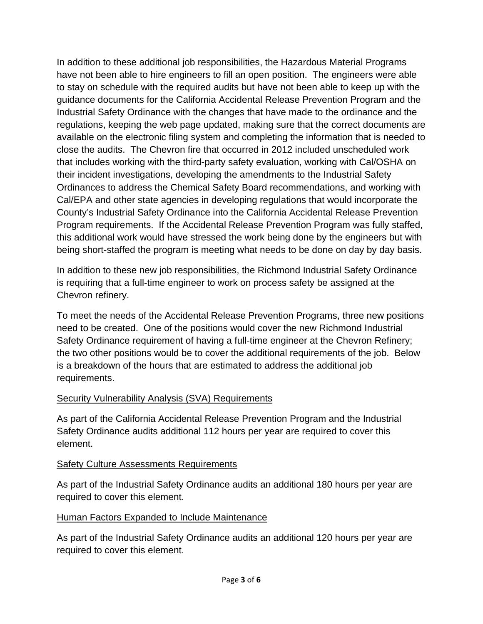In addition to these additional job responsibilities, the Hazardous Material Programs have not been able to hire engineers to fill an open position. The engineers were able to stay on schedule with the required audits but have not been able to keep up with the guidance documents for the California Accidental Release Prevention Program and the Industrial Safety Ordinance with the changes that have made to the ordinance and the regulations, keeping the web page updated, making sure that the correct documents are available on the electronic filing system and completing the information that is needed to close the audits. The Chevron fire that occurred in 2012 included unscheduled work that includes working with the third-party safety evaluation, working with Cal/OSHA on their incident investigations, developing the amendments to the Industrial Safety Ordinances to address the Chemical Safety Board recommendations, and working with Cal/EPA and other state agencies in developing regulations that would incorporate the County's Industrial Safety Ordinance into the California Accidental Release Prevention Program requirements. If the Accidental Release Prevention Program was fully staffed, this additional work would have stressed the work being done by the engineers but with being short-staffed the program is meeting what needs to be done on day by day basis.

In addition to these new job responsibilities, the Richmond Industrial Safety Ordinance is requiring that a full-time engineer to work on process safety be assigned at the Chevron refinery.

To meet the needs of the Accidental Release Prevention Programs, three new positions need to be created. One of the positions would cover the new Richmond Industrial Safety Ordinance requirement of having a full-time engineer at the Chevron Refinery; the two other positions would be to cover the additional requirements of the job. Below is a breakdown of the hours that are estimated to address the additional job requirements.

### **Security Vulnerability Analysis (SVA) Requirements**

As part of the California Accidental Release Prevention Program and the Industrial Safety Ordinance audits additional 112 hours per year are required to cover this element.

# Safety Culture Assessments Requirements

As part of the Industrial Safety Ordinance audits an additional 180 hours per year are required to cover this element.

# Human Factors Expanded to Include Maintenance

As part of the Industrial Safety Ordinance audits an additional 120 hours per year are required to cover this element.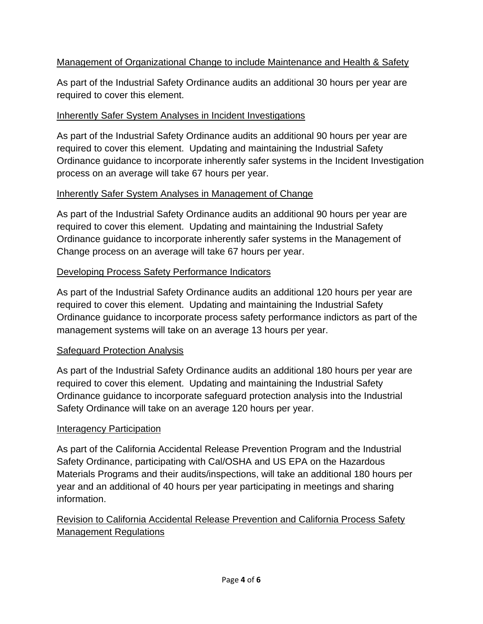# Management of Organizational Change to include Maintenance and Health & Safety

As part of the Industrial Safety Ordinance audits an additional 30 hours per year are required to cover this element.

## Inherently Safer System Analyses in Incident Investigations

As part of the Industrial Safety Ordinance audits an additional 90 hours per year are required to cover this element. Updating and maintaining the Industrial Safety Ordinance guidance to incorporate inherently safer systems in the Incident Investigation process on an average will take 67 hours per year.

## Inherently Safer System Analyses in Management of Change

As part of the Industrial Safety Ordinance audits an additional 90 hours per year are required to cover this element. Updating and maintaining the Industrial Safety Ordinance guidance to incorporate inherently safer systems in the Management of Change process on an average will take 67 hours per year.

## Developing Process Safety Performance Indicators

As part of the Industrial Safety Ordinance audits an additional 120 hours per year are required to cover this element. Updating and maintaining the Industrial Safety Ordinance guidance to incorporate process safety performance indictors as part of the management systems will take on an average 13 hours per year.

# Safeguard Protection Analysis

As part of the Industrial Safety Ordinance audits an additional 180 hours per year are required to cover this element. Updating and maintaining the Industrial Safety Ordinance guidance to incorporate safeguard protection analysis into the Industrial Safety Ordinance will take on an average 120 hours per year.

# Interagency Participation

As part of the California Accidental Release Prevention Program and the Industrial Safety Ordinance, participating with Cal/OSHA and US EPA on the Hazardous Materials Programs and their audits/inspections, will take an additional 180 hours per year and an additional of 40 hours per year participating in meetings and sharing information.

# Revision to California Accidental Release Prevention and California Process Safety Management Regulations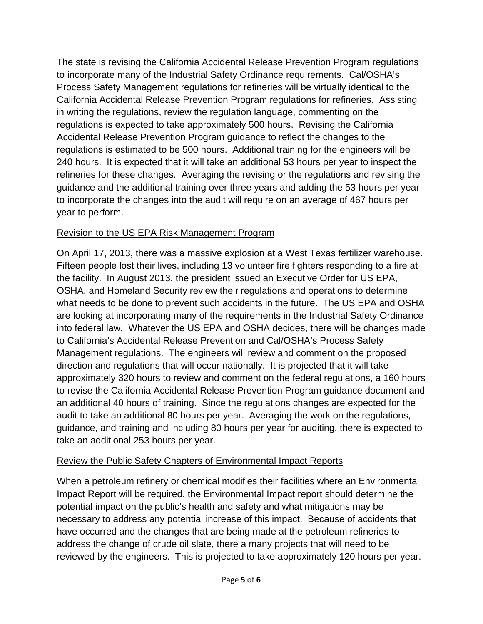The state is revising the California Accidental Release Prevention Program regulations to incorporate many of the Industrial Safety Ordinance requirements. Cal/OSHA's Process Safety Management regulations for refineries will be virtually identical to the California Accidental Release Prevention Program regulations for refineries. Assisting in writing the regulations, review the regulation language, commenting on the regulations is expected to take approximately 500 hours. Revising the California Accidental Release Prevention Program guidance to reflect the changes to the regulations is estimated to be 500 hours. Additional training for the engineers will be 240 hours. It is expected that it will take an additional 53 hours per year to inspect the refineries for these changes. Averaging the revising or the regulations and revising the guidance and the additional training over three years and adding the 53 hours per year to incorporate the changes into the audit will require on an average of 467 hours per year to perform.

# Revision to the US EPA Risk Management Program

On April 17, 2013, there was a massive explosion at a West Texas fertilizer warehouse. Fifteen people lost their lives, including 13 volunteer fire fighters responding to a fire at the facility. In August 2013, the president issued an Executive Order for US EPA, OSHA, and Homeland Security review their regulations and operations to determine what needs to be done to prevent such accidents in the future. The US EPA and OSHA are looking at incorporating many of the requirements in the Industrial Safety Ordinance into federal law. Whatever the US EPA and OSHA decides, there will be changes made to California's Accidental Release Prevention and Cal/OSHA's Process Safety Management regulations. The engineers will review and comment on the proposed direction and regulations that will occur nationally. It is projected that it will take approximately 320 hours to review and comment on the federal regulations, a 160 hours to revise the California Accidental Release Prevention Program guidance document and an additional 40 hours of training. Since the regulations changes are expected for the audit to take an additional 80 hours per year. Averaging the work on the regulations, guidance, and training and including 80 hours per year for auditing, there is expected to take an additional 253 hours per year.

# Review the Public Safety Chapters of Environmental Impact Reports

When a petroleum refinery or chemical modifies their facilities where an Environmental Impact Report will be required, the Environmental Impact report should determine the potential impact on the public's health and safety and what mitigations may be necessary to address any potential increase of this impact. Because of accidents that have occurred and the changes that are being made at the petroleum refineries to address the change of crude oil slate, there a many projects that will need to be reviewed by the engineers. This is projected to take approximately 120 hours per year.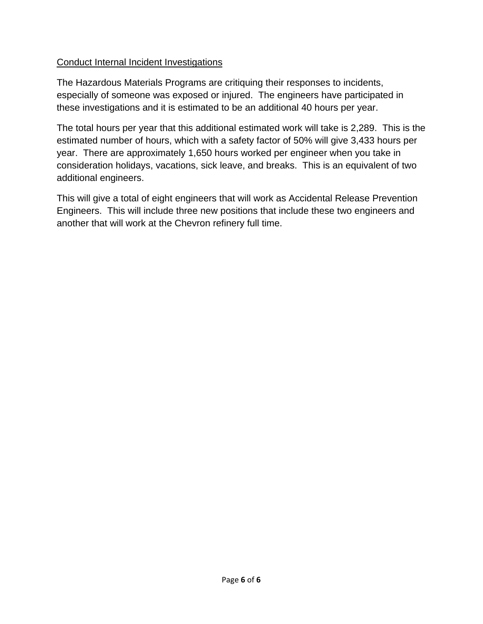## Conduct Internal Incident Investigations

The Hazardous Materials Programs are critiquing their responses to incidents, especially of someone was exposed or injured. The engineers have participated in these investigations and it is estimated to be an additional 40 hours per year.

The total hours per year that this additional estimated work will take is 2,289. This is the estimated number of hours, which with a safety factor of 50% will give 3,433 hours per year. There are approximately 1,650 hours worked per engineer when you take in consideration holidays, vacations, sick leave, and breaks. This is an equivalent of two additional engineers.

This will give a total of eight engineers that will work as Accidental Release Prevention Engineers. This will include three new positions that include these two engineers and another that will work at the Chevron refinery full time.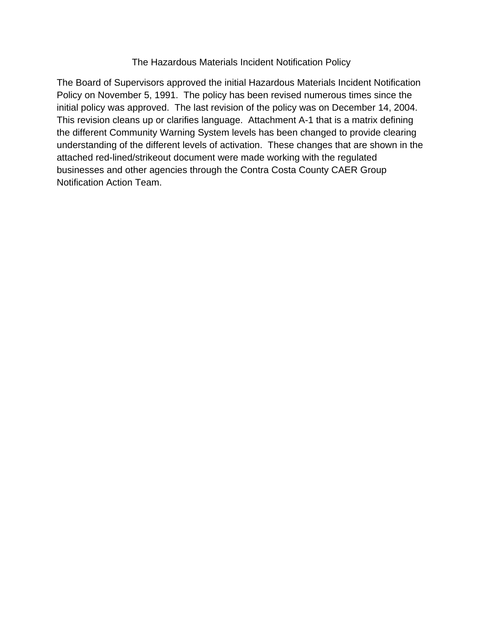### The Hazardous Materials Incident Notification Policy

The Board of Supervisors approved the initial Hazardous Materials Incident Notification Policy on November 5, 1991. The policy has been revised numerous times since the initial policy was approved. The last revision of the policy was on December 14, 2004. This revision cleans up or clarifies language. Attachment A-1 that is a matrix defining the different Community Warning System levels has been changed to provide clearing understanding of the different levels of activation. These changes that are shown in the attached red-lined/strikeout document were made working with the regulated businesses and other agencies through the Contra Costa County CAER Group Notification Action Team.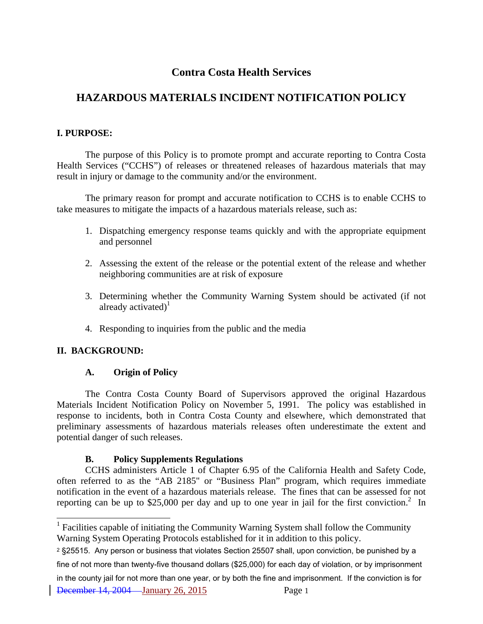# **Contra Costa Health Services**

# **HAZARDOUS MATERIALS INCIDENT NOTIFICATION POLICY**

### **I. PURPOSE:**

The purpose of this Policy is to promote prompt and accurate reporting to Contra Costa Health Services ("CCHS") of releases or threatened releases of hazardous materials that may result in injury or damage to the community and/or the environment.

The primary reason for prompt and accurate notification to CCHS is to enable CCHS to take measures to mitigate the impacts of a hazardous materials release, such as:

- 1. Dispatching emergency response teams quickly and with the appropriate equipment and personnel
- 2. Assessing the extent of the release or the potential extent of the release and whether neighboring communities are at risk of exposure
- 3. Determining whether the Community Warning System should be activated (if not already activated) $1$
- 4. Responding to inquiries from the public and the media

### **II. BACKGROUND:**

 $\overline{a}$ 

### **A. Origin of Policy**

The Contra Costa County Board of Supervisors approved the original Hazardous Materials Incident Notification Policy on November 5, 1991. The policy was established in response to incidents, both in Contra Costa County and elsewhere, which demonstrated that preliminary assessments of hazardous materials releases often underestimate the extent and potential danger of such releases.

### **B. Policy Supplements Regulations**

CCHS administers Article 1 of Chapter 6.95 of the California Health and Safety Code, often referred to as the "AB 2185" or "Business Plan" program, which requires immediate notification in the event of a hazardous materials release. The fines that can be assessed for not reporting can be up to \$25,000 per day and up to one year in jail for the first conviction.<sup>2</sup> In

December 14, 2004 January 26, 2015 Page 1 in the county jail for not more than one year, or by both the fine and imprisonment. If the conviction is for

 $<sup>1</sup>$  Facilities capable of initiating the Community Warning System shall follow the Community</sup> Warning System Operating Protocols established for it in addition to this policy.

<sup>2 §25515.</sup> Any person or business that violates Section 25507 shall, upon conviction, be punished by a fine of not more than twenty-five thousand dollars (\$25,000) for each day of violation, or by imprisonment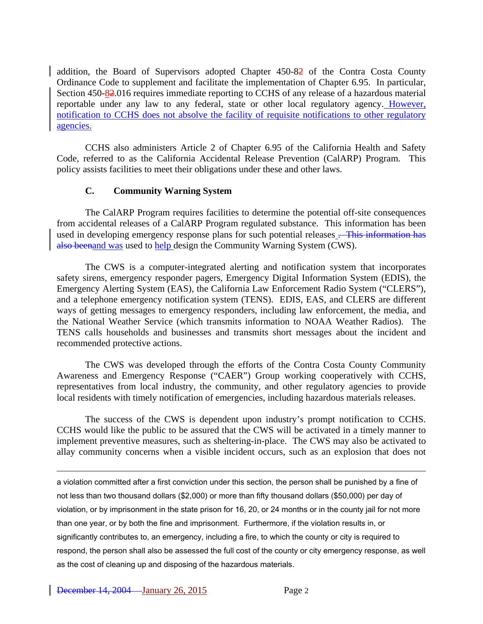addition, the Board of Supervisors adopted Chapter 450-82 of the Contra Costa County Ordinance Code to supplement and facilitate the implementation of Chapter 6.95. In particular, Section 450-82.016 requires immediate reporting to CCHS of any release of a hazardous material reportable under any law to any federal, state or other local regulatory agency. However, notification to CCHS does not absolve the facility of requisite notifications to other regulatory agencies.

CCHS also administers Article 2 of Chapter 6.95 of the California Health and Safety Code, referred to as the California Accidental Release Prevention (CalARP) Program. This policy assists facilities to meet their obligations under these and other laws.

### **C. Community Warning System**

The CalARP Program requires facilities to determine the potential off-site consequences from accidental releases of a CalARP Program regulated substance. This information has been used in developing emergency response plans for such potential releases . This information has also beenand was used to help design the Community Warning System (CWS).

The CWS is a computer-integrated alerting and notification system that incorporates safety sirens, emergency responder pagers, Emergency Digital Information System (EDIS), the Emergency Alerting System (EAS), the California Law Enforcement Radio System ("CLERS"), and a telephone emergency notification system (TENS). EDIS, EAS, and CLERS are different ways of getting messages to emergency responders, including law enforcement, the media, and the National Weather Service (which transmits information to NOAA Weather Radios). The TENS calls households and businesses and transmits short messages about the incident and recommended protective actions.

The CWS was developed through the efforts of the Contra Costa County Community Awareness and Emergency Response ("CAER") Group working cooperatively with CCHS, representatives from local industry, the community, and other regulatory agencies to provide local residents with timely notification of emergencies, including hazardous materials releases.

The success of the CWS is dependent upon industry's prompt notification to CCHS. CCHS would like the public to be assured that the CWS will be activated in a timely manner to implement preventive measures, such as sheltering-in-place. The CWS may also be activated to allay community concerns when a visible incident occurs, such as an explosion that does not

a violation committed after a first conviction under this section, the person shall be punished by a fine of not less than two thousand dollars (\$2,000) or more than fifty thousand dollars (\$50,000) per day of violation, or by imprisonment in the state prison for 16, 20, or 24 months or in the county jail for not more than one year, or by both the fine and imprisonment. Furthermore, if the violation results in, or significantly contributes to, an emergency, including a fire, to which the county or city is required to respond, the person shall also be assessed the full cost of the county or city emergency response, as well as the cost of cleaning up and disposing of the hazardous materials.

 $\overline{a}$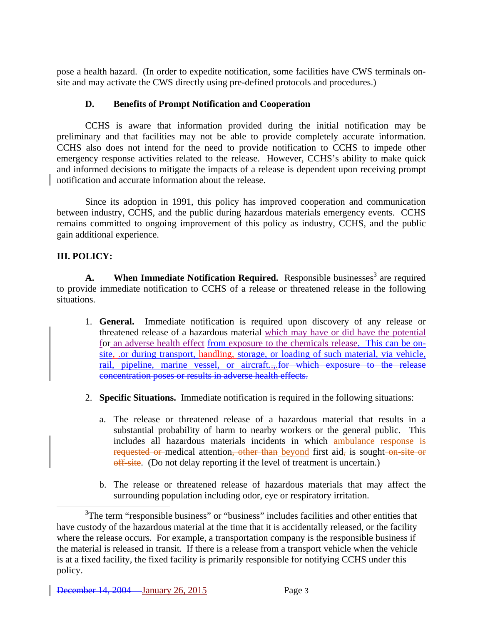pose a health hazard. (In order to expedite notification, some facilities have CWS terminals onsite and may activate the CWS directly using pre-defined protocols and procedures.)

#### **D. Benefits of Prompt Notification and Cooperation**

CCHS is aware that information provided during the initial notification may be preliminary and that facilities may not be able to provide completely accurate information. CCHS also does not intend for the need to provide notification to CCHS to impede other emergency response activities related to the release. However, CCHS's ability to make quick and informed decisions to mitigate the impacts of a release is dependent upon receiving prompt notification and accurate information about the release.

Since its adoption in 1991, this policy has improved cooperation and communication between industry, CCHS, and the public during hazardous materials emergency events. CCHS remains committed to ongoing improvement of this policy as industry, CCHS, and the public gain additional experience.

### **III. POLICY:**

A. When Immediate Notification Required. Responsible businesses<sup>3</sup> are required to provide immediate notification to CCHS of a release or threatened release in the following situations.

- 1. **General.** Immediate notification is required upon discovery of any release or threatened release of a hazardous material which may have or did have the potential for an adverse health effect from exposure to the chemicals release. This can be onsite, .or during transport, handling, storage, or loading of such material, via vehicle, rail, pipeline, marine vessel, or aircraft..., for which exposure to the release concentration poses or results in adverse health effects.
- 2. **Specific Situations.** Immediate notification is required in the following situations:
	- a. The release or threatened release of a hazardous material that results in a substantial probability of harm to nearby workers or the general public. This includes all hazardous materials incidents in which ambulance response is requested or medical attention, other than beyond first aid, is sought on site or off-site. (Do not delay reporting if the level of treatment is uncertain.)
	- b. The release or threatened release of hazardous materials that may affect the surrounding population including odor, eye or respiratory irritation.

 $\frac{1}{3}$ <sup>3</sup>The term "responsible business" or "business" includes facilities and other entities that have custody of the hazardous material at the time that it is accidentally released, or the facility where the release occurs. For example, a transportation company is the responsible business if the material is released in transit. If there is a release from a transport vehicle when the vehicle is at a fixed facility, the fixed facility is primarily responsible for notifying CCHS under this policy.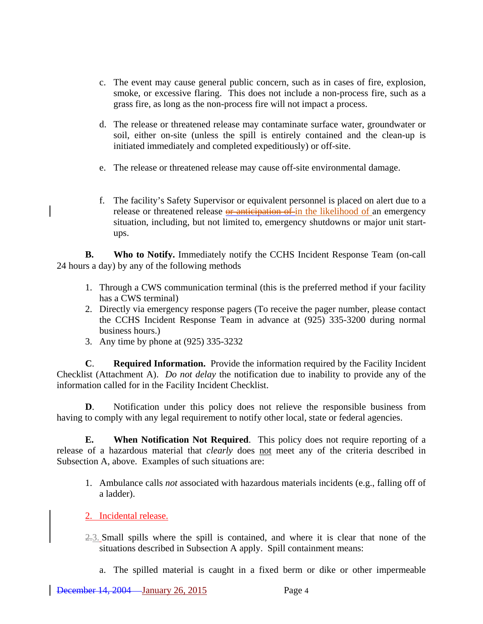- c. The event may cause general public concern, such as in cases of fire, explosion, smoke, or excessive flaring. This does not include a non-process fire, such as a grass fire, as long as the non-process fire will not impact a process.
- d. The release or threatened release may contaminate surface water, groundwater or soil, either on-site (unless the spill is entirely contained and the clean-up is initiated immediately and completed expeditiously) or off-site.
- e. The release or threatened release may cause off-site environmental damage.
- f. The facility's Safety Supervisor or equivalent personnel is placed on alert due to a release or threatened release or anticipation of in the likelihood of an emergency situation, including, but not limited to, emergency shutdowns or major unit startups.

**B.** Who to Notify. Immediately notify the CCHS Incident Response Team (on-call 24 hours a day) by any of the following methods

- 1. Through a CWS communication terminal (this is the preferred method if your facility has a CWS terminal)
- 2. Directly via emergency response pagers (To receive the pager number, please contact the CCHS Incident Response Team in advance at (925) 335-3200 during normal business hours.)
- 3. Any time by phone at (925) 335-3232

**C**. **Required Information.** Provide the information required by the Facility Incident Checklist (Attachment A). *Do not delay* the notification due to inability to provide any of the information called for in the Facility Incident Checklist.

**D**. Notification under this policy does not relieve the responsible business from having to comply with any legal requirement to notify other local, state or federal agencies.

**E. When Notification Not Required**. This policy does not require reporting of a release of a hazardous material that *clearly* does not meet any of the criteria described in Subsection A, above. Examples of such situations are:

- 1. Ambulance calls *not* associated with hazardous materials incidents (e.g., falling off of a ladder).
- 2. Incidental release.
- 2.3. Small spills where the spill is contained, and where it is clear that none of the situations described in Subsection A apply. Spill containment means:
	- a. The spilled material is caught in a fixed berm or dike or other impermeable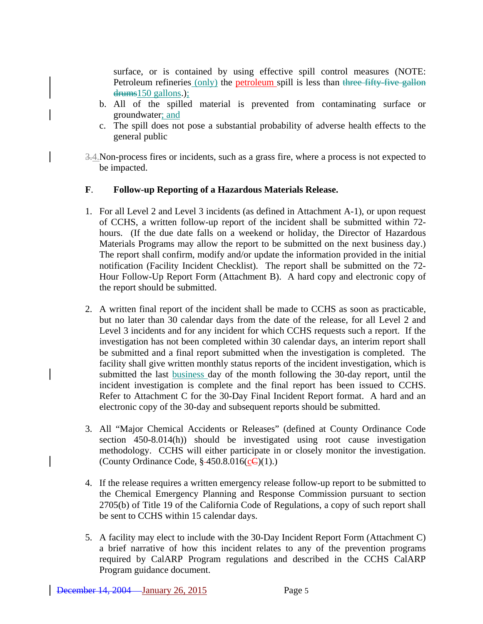surface, or is contained by using effective spill control measures (NOTE: Petroleum refineries (only) the petroleum spill is less than three fifty-five gallon drums150 gallons.);

- b. All of the spilled material is prevented from contaminating surface or groundwater; and
- c. The spill does not pose a substantial probability of adverse health effects to the general public
- 3.4.Non-process fires or incidents, such as a grass fire, where a process is not expected to be impacted.

#### **F**. **Follow-up Reporting of a Hazardous Materials Release.**

- 1. For all Level 2 and Level 3 incidents (as defined in Attachment A-1), or upon request of CCHS, a written follow-up report of the incident shall be submitted within 72 hours. (If the due date falls on a weekend or holiday, the Director of Hazardous Materials Programs may allow the report to be submitted on the next business day.) The report shall confirm, modify and/or update the information provided in the initial notification (Facility Incident Checklist). The report shall be submitted on the 72- Hour Follow-Up Report Form (Attachment B). A hard copy and electronic copy of the report should be submitted.
- 2. A written final report of the incident shall be made to CCHS as soon as practicable, but no later than 30 calendar days from the date of the release, for all Level 2 and Level 3 incidents and for any incident for which CCHS requests such a report. If the investigation has not been completed within 30 calendar days, an interim report shall be submitted and a final report submitted when the investigation is completed. The facility shall give written monthly status reports of the incident investigation, which is submitted the last business day of the month following the 30-day report, until the incident investigation is complete and the final report has been issued to CCHS. Refer to Attachment C for the 30-Day Final Incident Report format. A hard and an electronic copy of the 30-day and subsequent reports should be submitted.
- 3. All "Major Chemical Accidents or Releases" (defined at County Ordinance Code section 450-8.014(h)) should be investigated using root cause investigation methodology. CCHS will either participate in or closely monitor the investigation. (County Ordinance Code,  $\frac{$-450.8.016(\underline{c}\cdot\text{C})(1)}{2}$ .)
- 4. If the release requires a written emergency release follow-up report to be submitted to the Chemical Emergency Planning and Response Commission pursuant to section 2705(b) of Title 19 of the California Code of Regulations, a copy of such report shall be sent to CCHS within 15 calendar days.
- 5. A facility may elect to include with the 30-Day Incident Report Form (Attachment C) a brief narrative of how this incident relates to any of the prevention programs required by CalARP Program regulations and described in the CCHS CalARP Program guidance document.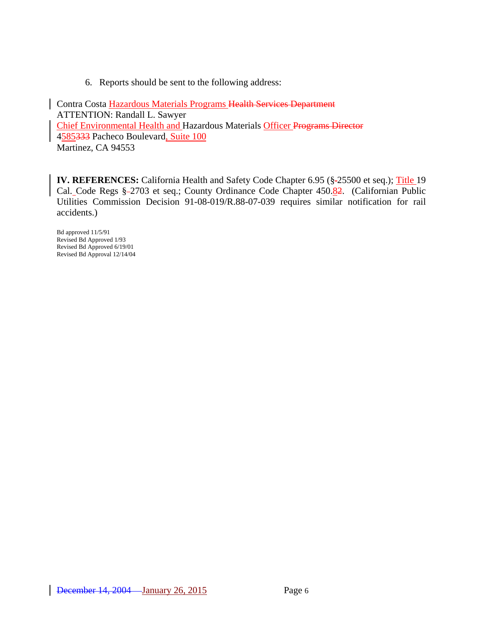6. Reports should be sent to the following address:

Contra Costa Hazardous Materials Programs Health Services Department ATTENTION: Randall L. Sawyer Chief Environmental Health and Hazardous Materials Officer Programs Director 4585333 Pacheco Boulevard, Suite 100 Martinez, CA 94553

**IV. REFERENCES:** California Health and Safety Code Chapter 6.95 (§-25500 et seq.); Title 19 Cal. Code Regs § -2703 et seq.; County Ordinance Code Chapter 450.82. (Californian Public Utilities Commission Decision 91-08-019/R.88-07-039 requires similar notification for rail accidents.)

Bd approved 11/5/91 Revised Bd Approved 1/93 Revised Bd Approved 6/19/01 Revised Bd Approval 12/14/04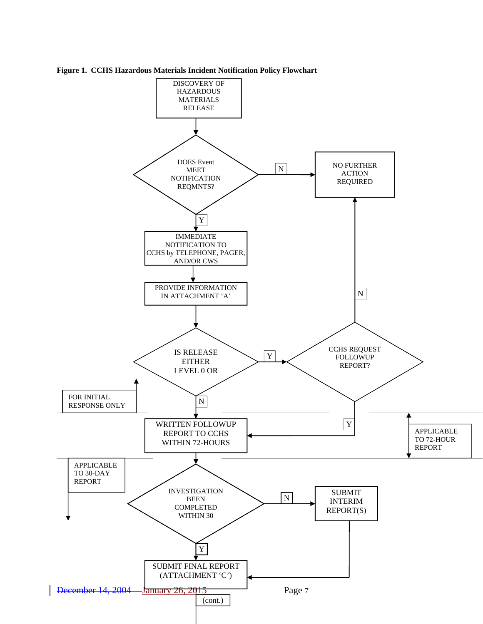

**Figure 1. CCHS Hazardous Materials Incident Notification Policy Flowchart**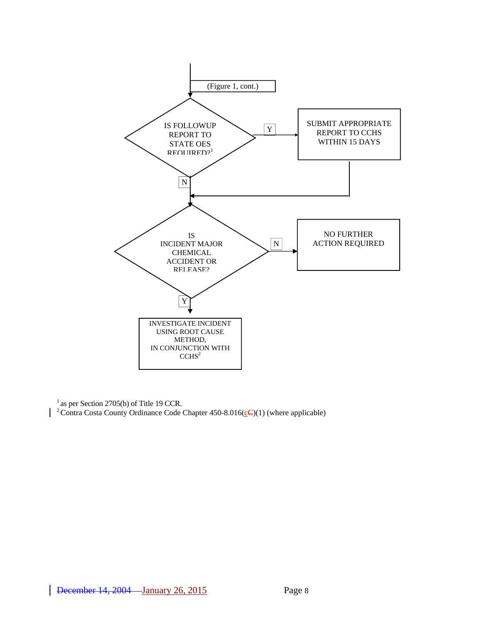

 $<sup>1</sup>$  as per Section 2705(b) of Title 19 CCR.</sup> <sup>2</sup>Contra Costa County Ordinance Code Chapter 450-8.016( $\leq$ C)(1) (where applicable)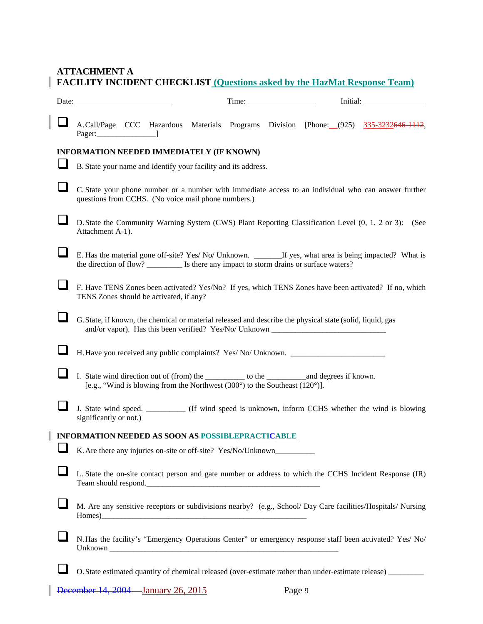# **ATTACHMENT A FACILITY INCIDENT CHECKLIST (Questions asked by the HazMat Response Team)**

| Date:                                                    |                                                                                                                                                                                                |  |                                                                             |  | Time: |  | Initial: |                                                                                                               |
|----------------------------------------------------------|------------------------------------------------------------------------------------------------------------------------------------------------------------------------------------------------|--|-----------------------------------------------------------------------------|--|-------|--|----------|---------------------------------------------------------------------------------------------------------------|
|                                                          |                                                                                                                                                                                                |  |                                                                             |  |       |  |          | A.Call/Page CCC Hazardous Materials Programs Division [Phone: (925) 335-3232646-1112,                         |
|                                                          | INFORMATION NEEDED IMMEDIATELY (IF KNOWN)                                                                                                                                                      |  |                                                                             |  |       |  |          |                                                                                                               |
|                                                          | B. State your name and identify your facility and its address.                                                                                                                                 |  |                                                                             |  |       |  |          |                                                                                                               |
|                                                          | questions from CCHS. (No voice mail phone numbers.)                                                                                                                                            |  |                                                                             |  |       |  |          | C. State your phone number or a number with immediate access to an individual who can answer further          |
|                                                          | Attachment A-1).                                                                                                                                                                               |  |                                                                             |  |       |  |          | D. State the Community Warning System (CWS) Plant Reporting Classification Level (0, 1, 2 or 3): (See         |
|                                                          | the direction of flow? _____________ Is there any impact to storm drains or surface waters?                                                                                                    |  |                                                                             |  |       |  |          | E. Has the material gone off-site? Yes/No/Unknown. ________If yes, what area is being impacted? What is       |
|                                                          | F. Have TENS Zones been activated? Yes/No? If yes, which TENS Zones have been activated? If no, which<br>TENS Zones should be activated, if any?                                               |  |                                                                             |  |       |  |          |                                                                                                               |
|                                                          | G. State, if known, the chemical or material released and describe the physical state (solid, liquid, gas<br>and/or vapor). Has this been verified? Yes/No/ Unknown __________________________ |  |                                                                             |  |       |  |          |                                                                                                               |
|                                                          | H. Have you received any public complaints? Yes/No/Unknown. _____________________                                                                                                              |  |                                                                             |  |       |  |          |                                                                                                               |
|                                                          | I. State wind direction out of (from) the ___________ to the ____________________ and degrees if known.                                                                                        |  | [e.g., "Wind is blowing from the Northwest (300°) to the Southeast (120°)]. |  |       |  |          |                                                                                                               |
|                                                          | significantly or not.)                                                                                                                                                                         |  |                                                                             |  |       |  |          | J. State wind speed. _________ (If wind speed is unknown, inform CCHS whether the wind is blowing             |
| <b>INFORMATION NEEDED AS SOON AS POSSIBLEPRACTICABLE</b> |                                                                                                                                                                                                |  |                                                                             |  |       |  |          |                                                                                                               |
|                                                          | K. Are there any injuries on-site or off-site? Yes/No/Unknown_                                                                                                                                 |  |                                                                             |  |       |  |          |                                                                                                               |
|                                                          | Team should respond.                                                                                                                                                                           |  |                                                                             |  |       |  |          | L. State the on-site contact person and gate number or address to which the CCHS Incident Response (IR)       |
|                                                          |                                                                                                                                                                                                |  |                                                                             |  |       |  |          | M. Are any sensitive receptors or subdivisions nearby? (e.g., School/ Day Care facilities/Hospitals/ Nursing  |
|                                                          |                                                                                                                                                                                                |  |                                                                             |  |       |  |          | N. Has the facility's "Emergency Operations Center" or emergency response staff been activated? Yes/ No/      |
|                                                          |                                                                                                                                                                                                |  |                                                                             |  |       |  |          | O. State estimated quantity of chemical released (over-estimate rather than under-estimate release) _________ |

 $\overline{1}$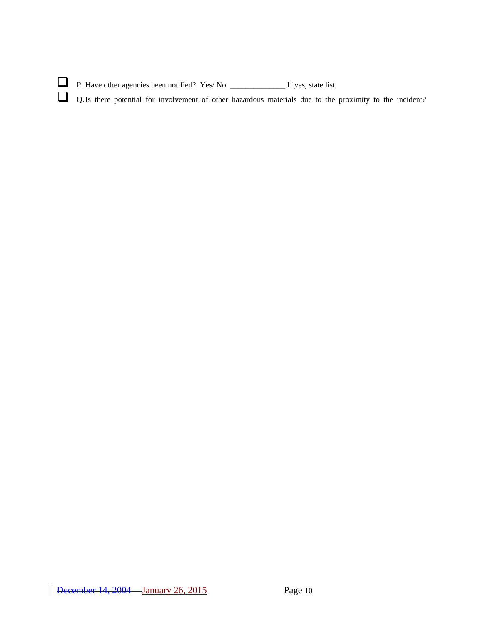| $\Box$ P. Have other agencies been notified? Yes/No.                                                     | If yes, state list. |  |  |
|----------------------------------------------------------------------------------------------------------|---------------------|--|--|
| Q. Is there potential for involvement of other hazardous materials due to the proximity to the incident? |                     |  |  |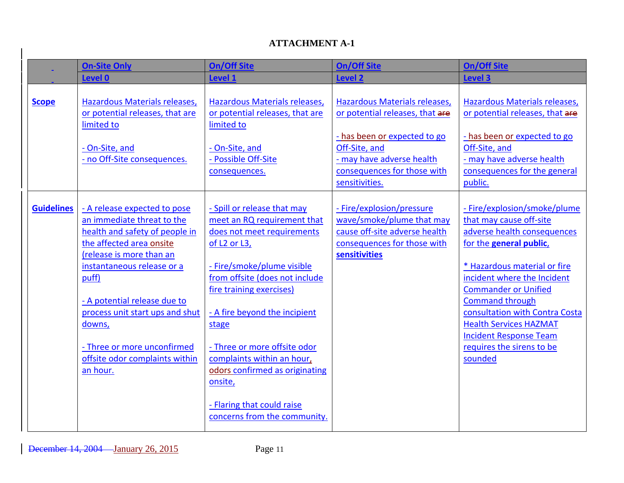## **ATTACHMENT A-1**

|                   | <b>On-Site Only</b>                                                                                                                                                                         | <b>On/Off Site</b>                                                                                                                                                                                                            | <b>On/Off Site</b>                                                                                                                                                            | <b>On/Off Site</b>                                                                                                                                                                                              |
|-------------------|---------------------------------------------------------------------------------------------------------------------------------------------------------------------------------------------|-------------------------------------------------------------------------------------------------------------------------------------------------------------------------------------------------------------------------------|-------------------------------------------------------------------------------------------------------------------------------------------------------------------------------|-----------------------------------------------------------------------------------------------------------------------------------------------------------------------------------------------------------------|
|                   | <b>Level 0</b>                                                                                                                                                                              | <b>Level 1</b>                                                                                                                                                                                                                | <b>Level 2</b>                                                                                                                                                                | <b>Level 3</b>                                                                                                                                                                                                  |
| <b>Scope</b>      | Hazardous Materials releases,<br>or potential releases, that are<br>limited to<br>- On-Site, and<br>- no Off-Site consequences.                                                             | Hazardous Materials releases,<br>or potential releases, that are<br>limited to<br>- On-Site, and<br>- Possible Off-Site<br>consequences.                                                                                      | Hazardous Materials releases,<br>or potential releases, that are<br>- has been or expected to go<br>Off-Site, and<br>- may have adverse health<br>consequences for those with | Hazardous Materials releases,<br>or potential releases, that are<br>- has been or expected to go<br>Off-Site, and<br>- may have adverse health<br>consequences for the general                                  |
|                   |                                                                                                                                                                                             |                                                                                                                                                                                                                               | sensitivities.                                                                                                                                                                | public.                                                                                                                                                                                                         |
| <b>Guidelines</b> | - A release expected to pose<br>an immediate threat to the<br>health and safety of people in<br>the affected area onsite<br>(release is more than an<br>instantaneous release or a<br>puff) | - Spill or release that may<br>meet an RQ requirement that<br>does not meet requirements<br>of L <sub>2</sub> or L <sub>3</sub> ,<br>- Fire/smoke/plume visible<br>from offsite (does not include<br>fire training exercises) | - Fire/explosion/pressure<br>wave/smoke/plume that may<br>cause off-site adverse health<br>consequences for those with<br>sensitivities                                       | - Fire/explosion/smoke/plume<br>that may cause off-site<br>adverse health consequences<br>for the general public,<br>* Hazardous material or fire<br>incident where the Incident<br><b>Commander or Unified</b> |
|                   | - A potential release due to<br>process unit start ups and shut<br>downs,<br>- Three or more unconfirmed<br>offsite odor complaints within<br>an hour.                                      | - A fire beyond the incipient<br>stage<br>- Three or more offsite odor<br>complaints within an hour,<br>odors confirmed as originating<br>onsite,                                                                             |                                                                                                                                                                               | <b>Command through</b><br>consultation with Contra Costa<br><b>Health Services HAZMAT</b><br><b>Incident Response Team</b><br>requires the sirens to be<br>sounded                                              |
|                   |                                                                                                                                                                                             | - Flaring that could raise<br>concerns from the community.                                                                                                                                                                    |                                                                                                                                                                               |                                                                                                                                                                                                                 |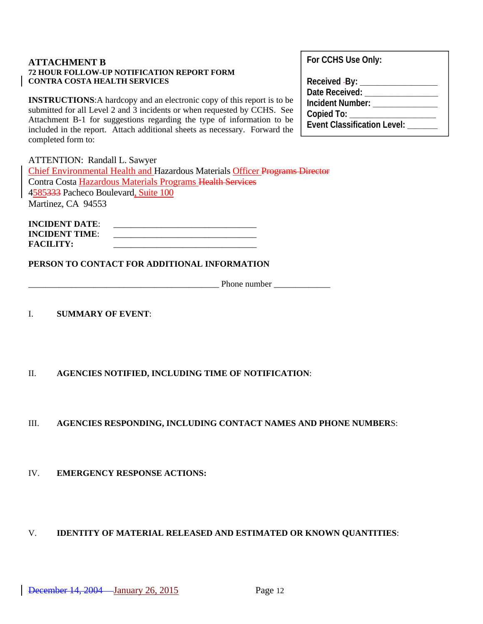#### **ATTACHMENT B 72 HOUR FOLLOW-UP NOTIFICATION REPORT FORM CONTRA COSTA HEALTH SERVICES**

**INSTRUCTIONS**:A hardcopy and an electronic copy of this report is to be submitted for all Level 2 and 3 incidents or when requested by CCHS. See Attachment B-1 for suggestions regarding the type of information to be included in the report. Attach additional sheets as necessary. Forward the completed form to:

ATTENTION: Randall L. Sawyer Chief Environmental Health and Hazardous Materials Officer Programs Director Contra Costa Hazardous Materials Programs Health Services 4585333 Pacheco Boulevard, Suite 100 Martinez, CA 94553

**INCIDENT DATE: INCIDENT TIME:**  $FACILITY:$ 

**PERSON TO CONTACT FOR ADDITIONAL INFORMATION** 

Phone number

I. **SUMMARY OF EVENT**:

II. **AGENCIES NOTIFIED, INCLUDING TIME OF NOTIFICATION**:

III. **AGENCIES RESPONDING, INCLUDING CONTACT NAMES AND PHONE NUMBER**S:

IV. **EMERGENCY RESPONSE ACTIONS:**

V. **IDENTITY OF MATERIAL RELEASED AND ESTIMATED OR KNOWN QUANTITIES**:

**For CCHS Use Only:** 

| Received -By: _                    |
|------------------------------------|
| Date Received:                     |
| Incident Number:                   |
| Copied To:                         |
| <b>Event Classification Level:</b> |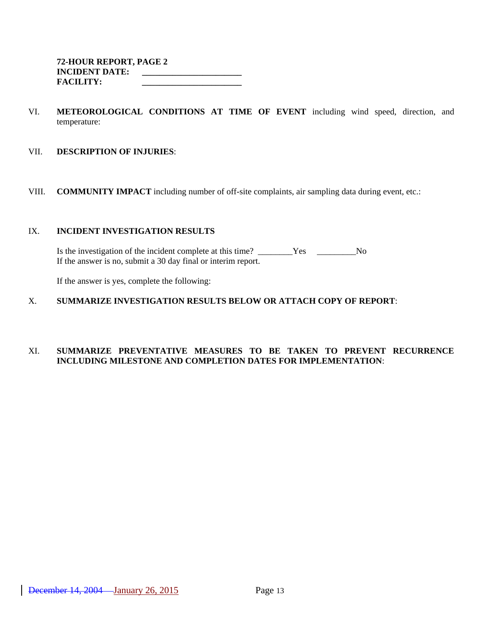- VI. **METEOROLOGICAL CONDITIONS AT TIME OF EVENT** including wind speed, direction, and temperature:
- VII. **DESCRIPTION OF INJURIES**:
- VIII. **COMMUNITY IMPACT** including number of off-site complaints, air sampling data during event, etc.:

#### IX. **INCIDENT INVESTIGATION RESULTS**

Is the investigation of the incident complete at this time? \_\_\_\_\_\_\_\_Yes \_\_\_\_\_\_\_\_No If the answer is no, submit a 30 day final or interim report.

If the answer is yes, complete the following:

#### X. **SUMMARIZE INVESTIGATION RESULTS BELOW OR ATTACH COPY OF REPORT**:

#### XI. **SUMMARIZE PREVENTATIVE MEASURES TO BE TAKEN TO PREVENT RECURRENCE INCLUDING MILESTONE AND COMPLETION DATES FOR IMPLEMENTATION**: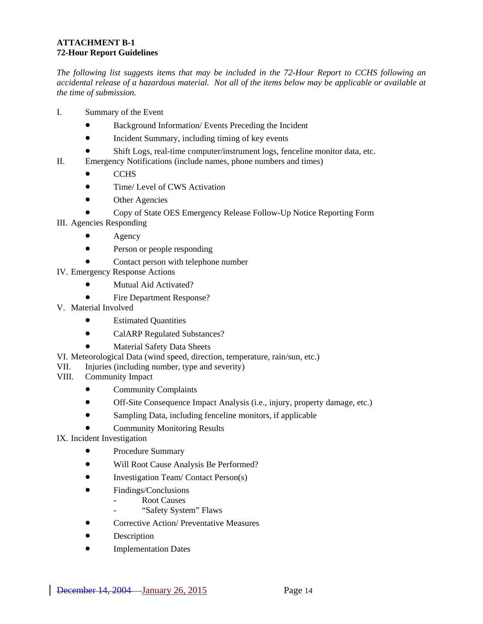#### **ATTACHMENT B-1 72-Hour Report Guidelines**

*The following list suggests items that may be included in the 72-Hour Report to CCHS following an accidental release of a hazardous material. Not all of the items below may be applicable or available at the time of submission.*

- I. Summary of the Event
	- Background Information/Events Preceding the Incident
	- Incident Summary, including timing of key events
	- Shift Logs, real-time computer/instrument logs, fenceline monitor data, etc.
- II. Emergency Notifications (include names, phone numbers and times)
	- CCHS
	- Time/ Level of CWS Activation
	- Other Agencies
	- Copy of State OES Emergency Release Follow-Up Notice Reporting Form
- III. Agencies Responding
	- **Agency**
	- Person or people responding
	- Contact person with telephone number
- IV. Emergency Response Actions
	- Mutual Aid Activated?
	- Fire Department Response?
- V. Material Involved
	- Estimated Quantities
	- CalARP Regulated Substances?
	- Material Safety Data Sheets
- VI. Meteorological Data (wind speed, direction, temperature, rain/sun, etc.)
- VII. Injuries (including number, type and severity)
- VIII. Community Impact
	- Community Complaints
	- Off-Site Consequence Impact Analysis (i.e., injury, property damage, etc.)
	- Sampling Data, including fenceline monitors, if applicable
	- Community Monitoring Results
- IX. Incident Investigation
	- Procedure Summary
	- Will Root Cause Analysis Be Performed?
	- Investigation Team/ Contact Person(s)
	- Findings/Conclusions
		- Root Causes
		- "Safety System" Flaws
	- Corrective Action/ Preventative Measures
	- Description
	- Implementation Dates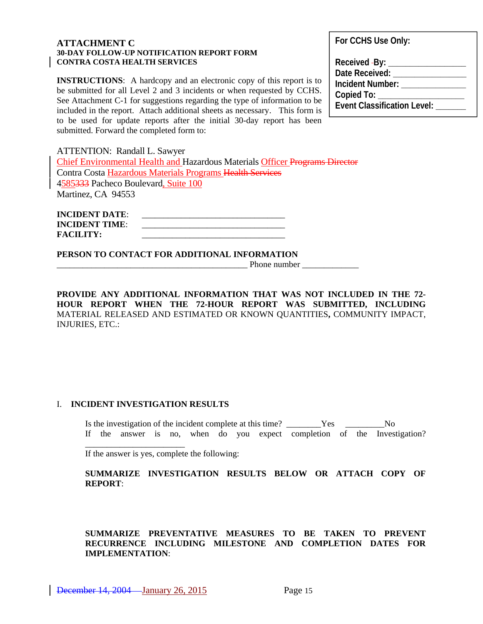#### **ATTACHMENT C 30-DAY FOLLOW-UP NOTIFICATION REPORT FORM CONTRA COSTA HEALTH SERVICES**

**INSTRUCTIONS:** A hardcopy and an electronic copy of this report is to be submitted for all Level 2 and 3 incidents or when requested by CCHS. See Attachment C-1 for suggestions regarding the type of information to be included in the report. Attach additional sheets as necessary. This form is to be used for update reports after the initial 30-day report has been submitted. Forward the completed form to:

**For CCHS Use Only:** 

**Received By: \_\_\_\_\_\_\_\_\_\_\_\_\_\_\_\_\_\_ Date Received: \_\_\_\_\_\_\_\_\_\_\_\_\_\_\_\_\_ Incident Number: Copied To: \_\_\_\_\_\_\_\_\_\_\_\_\_\_\_\_\_\_\_\_ Event Classification Level: \_\_\_\_\_\_\_**

ATTENTION: Randall L. Sawyer Chief Environmental Health and Hazardous Materials Officer Programs Director Contra Costa Hazardous Materials Programs Health Services 4585333 Pacheco Boulevard, Suite 100 Martinez, CA 94553

| <b>INCIDENT DATE:</b> |  |
|-----------------------|--|
| <b>INCIDENT TIME:</b> |  |
| <b>FACILITY:</b>      |  |

**PERSON TO CONTACT FOR ADDITIONAL INFORMATION**

Phone number

**PROVIDE ANY ADDITIONAL INFORMATION THAT WAS NOT INCLUDED IN THE 72- HOUR REPORT WHEN THE 72-HOUR REPORT WAS SUBMITTED, INCLUDING**  MATERIAL RELEASED AND ESTIMATED OR KNOWN QUANTITIES**,** COMMUNITY IMPACT, INJURIES, ETC.:

#### I. **INCIDENT INVESTIGATION RESULTS**

\_\_\_\_\_\_\_\_\_\_\_\_\_\_\_\_\_\_\_\_\_\_\_

Is the investigation of the incident complete at this time? \_\_\_\_\_\_\_\_Yes \_\_\_\_\_\_\_\_\_No If the answer is no, when do you expect completion of the Investigation?

If the answer is yes, complete the following:

#### **SUMMARIZE INVESTIGATION RESULTS BELOW OR ATTACH COPY OF REPORT**:

**SUMMARIZE PREVENTATIVE MEASURES TO BE TAKEN TO PREVENT RECURRENCE INCLUDING MILESTONE AND COMPLETION DATES FOR IMPLEMENTATION**: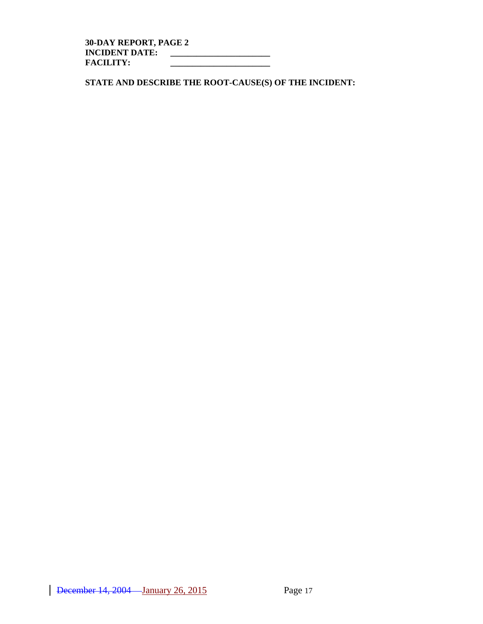**30-DAY REPORT, PAGE 2 INCIDENT DATE: \_\_\_\_\_\_\_\_\_\_\_\_\_\_\_\_\_\_\_\_\_\_\_ FACILITY: \_\_\_\_\_\_\_\_\_\_\_\_\_\_\_\_\_\_\_\_\_\_\_** 

**STATE AND DESCRIBE THE ROOT-CAUSE(S) OF THE INCIDENT:**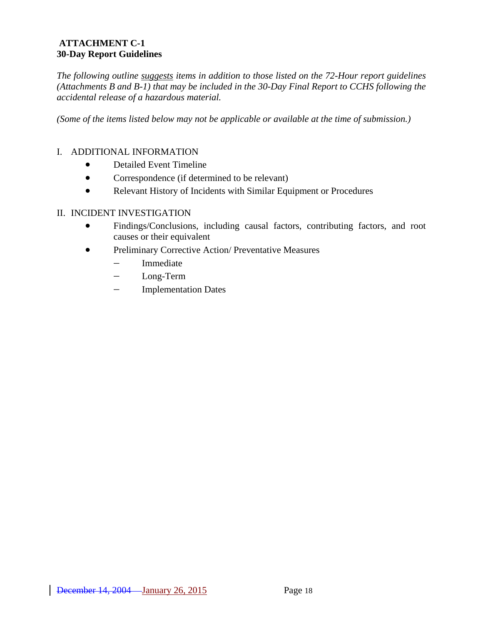### **ATTACHMENT C-1 30-Day Report Guidelines**

*The following outline suggests items in addition to those listed on the 72-Hour report guidelines (Attachments B and B-1) that may be included in the 30-Day Final Report to CCHS following the accidental release of a hazardous material.* 

*(Some of the items listed below may not be applicable or available at the time of submission.)*

### I. ADDITIONAL INFORMATION

- Detailed Event Timeline
- Correspondence (if determined to be relevant)
- Relevant History of Incidents with Similar Equipment or Procedures

#### II. INCIDENT INVESTIGATION

- Findings/Conclusions, including causal factors, contributing factors, and root causes or their equivalent
- Preliminary Corrective Action/Preventative Measures
	- − Immediate
	- − Long-Term
	- − Implementation Dates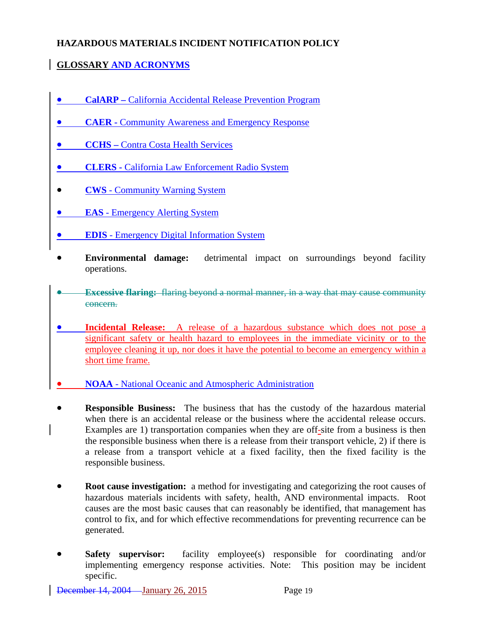## **HAZARDOUS MATERIALS INCIDENT NOTIFICATION POLICY**

## **GLOSSARY AND ACRONYMS**

- **CalARP** California Accidental Release Prevention Program
- **CAER Community Awareness and Emergency Response**
- **CCHS Contra Costa Health Services**
- **CLERS** California Law Enforcement Radio System
- **CWS**  Community Warning System
- **EAS** Emergency Alerting System
- **EDIS** Emergency Digital Information System
- **Environmental damage:** detrimental impact on surroundings beyond facility operations.
- **Excessive flaring:** flaring beyond a normal manner, in a way that may cause community concern.
- **Incidental Release:** A release of a hazardous substance which does not pose a significant safety or health hazard to employees in the immediate vicinity or to the employee cleaning it up, nor does it have the potential to become an emergency within a short time frame.
- **NOAA**  National Oceanic and Atmospheric Administration
- **Responsible Business:** The business that has the custody of the hazardous material when there is an accidental release or the business where the accidental release occurs. Examples are 1) transportation companies when they are off-site from a business is then the responsible business when there is a release from their transport vehicle, 2) if there is a release from a transport vehicle at a fixed facility, then the fixed facility is the responsible business.
- **Root cause investigation:** a method for investigating and categorizing the root causes of hazardous materials incidents with safety, health, AND environmental impacts. Root causes are the most basic causes that can reasonably be identified, that management has control to fix, and for which effective recommendations for preventing recurrence can be generated.
- **Safety supervisor:** facility employee(s) responsible for coordinating and/or implementing emergency response activities. Note: This position may be incident specific.

December 14, 2004 January 26, 2015 Page 19